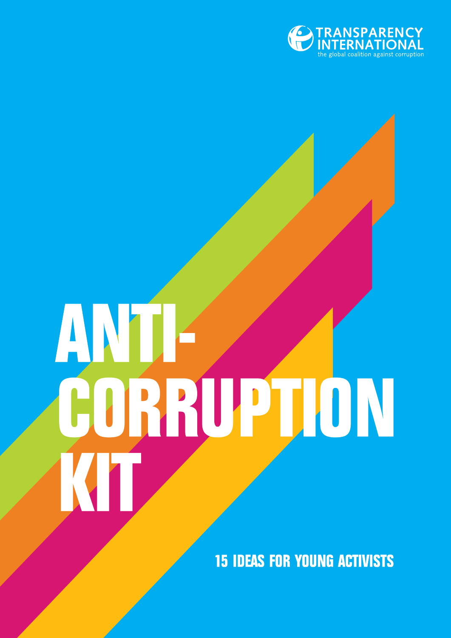

# ANJI-CORRUPTION KIT

**15 IDEAS FOR YOUNG ACTIVISTS**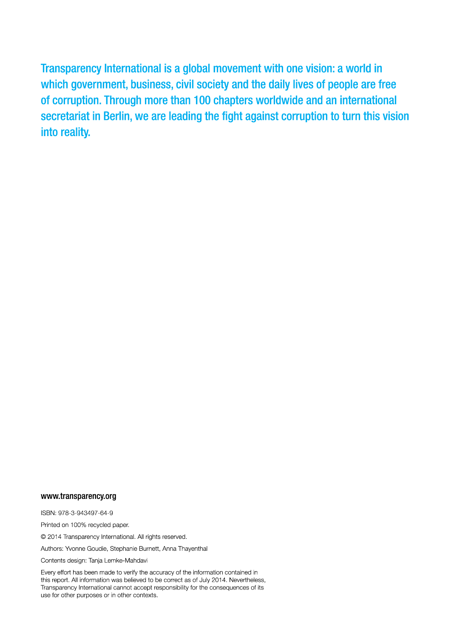Transparency International is a global movement with one vision: a world in which government, business, civil society and the daily lives of people are free of corruption. Through more than 100 chapters worldwide and an international secretariat in Berlin, we are leading the fight against corruption to turn this vision into reality.

#### www.transparency.org

ISBN: 978-3-943497-64-9

Printed on 100% recycled paper.

© 2014 Transparency International. All rights reserved.

Authors: Yvonne Goudie, Stephanie Burnett, Anna Thayenthal

Contents design: Tanja Lemke-Mahdavi

Every effort has been made to verify the accuracy of the information contained in this report. All information was believed to be correct as of July 2014. Nevertheless, Transparency International cannot accept responsibility for the consequences of its use for other purposes or in other contexts.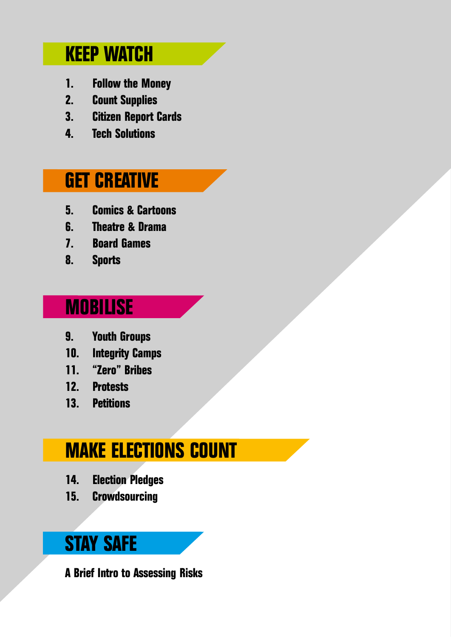### **Keep watch**

- **1. Follow the Money**
- **2. Count Supplies**
- **3. Citizen Report Cards**
- **4. Tech Solutions**

### **Get creative**

- **5. Comics & Cartoons**
- **6. Theatre & Drama**
- **7. Board Games**
- **8. Sports**

### **Mobilise**

- **9. Youth Groups**
- **10. Integrity Camps**
- **11. "Zero" Bribes**
- **12. Protests**
- **13. Petitions**

### **Make elections count**

- **14. Election Pledges**
- **15. Crowdsourcing**

### **Stay Safe**

**A Brief Intro to Assessing Risks**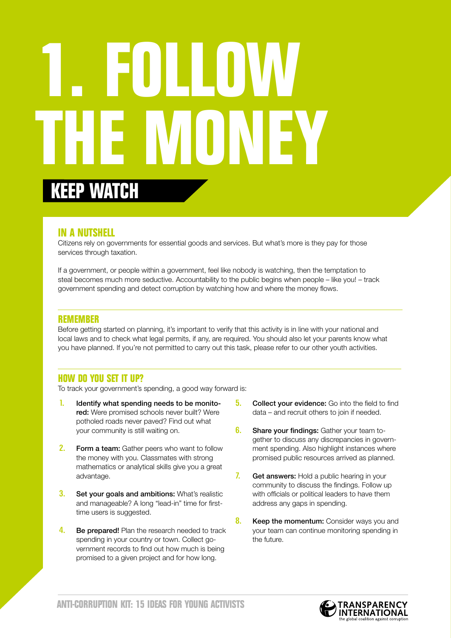## **1. Follow the Money keep watch**

#### **In a nutshell**

Citizens rely on governments for essential goods and services. But what's more is they pay for those services through taxation.

If a government, or people within a government, feel like nobody is watching, then the temptation to steal becomes much more seductive. Accountability to the public begins when people – like you! – track government spending and detect corruption by watching how and where the money flows.

#### **Remember**

Before getting started on planning, it's important to verify that this activity is in line with your national and local laws and to check what legal permits, if any, are required. You should also let your parents know what you have planned. If you're not permitted to carry out this task, please refer to our other youth activities.

#### **How do you set it up?**

To track your government's spending, a good way forward is:

- 1. Identify what spending needs to be monitored: Were promised schools never built? Were potholed roads never paved? Find out what your community is still waiting on.
- 2. Form a team: Gather peers who want to follow the money with you. Classmates with strong mathematics or analytical skills give you a great advantage.
- **3.** Set your goals and ambitions: What's realistic and manageable? A long "lead-in" time for firsttime users is suggested.
- 4. Be prepared! Plan the research needed to track spending in your country or town. Collect government records to find out how much is being promised to a given project and for how long.
- **5.** Collect your evidence: Go into the field to find data – and recruit others to join if needed.
- **6.** Share your findings: Gather your team together to discuss any discrepancies in government spending. Also highlight instances where promised public resources arrived as planned.
- 7. Get answers: Hold a public hearing in your community to discuss the findings. Follow up with officials or political leaders to have them address any gaps in spending.
- **8.** Keep the momentum: Consider ways you and your team can continue monitoring spending in the future.

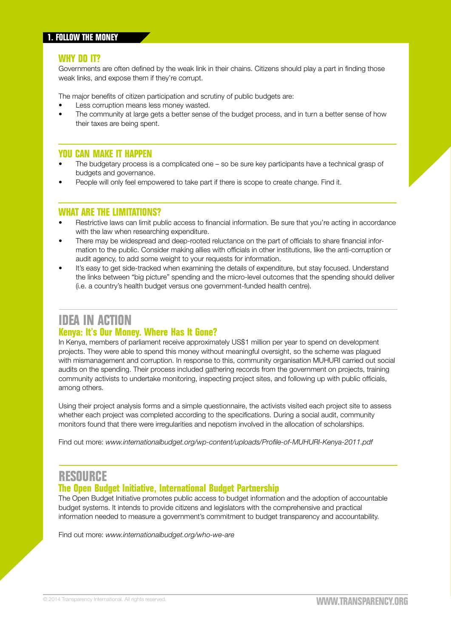Governments are often defined by the weak link in their chains. Citizens should play a part in finding those weak links, and expose them if they're corrupt.

The major benefits of citizen participation and scrutiny of public budgets are:

- Less corruption means less money wasted.
- The community at large gets a better sense of the budget process, and in turn a better sense of how their taxes are being spent.

#### **You can make it happen**

- The budgetary process is a complicated one so be sure key participants have a technical grasp of budgets and governance.
- People will only feel empowered to take part if there is scope to create change. Find it.

#### **What are the limitations?**

- Restrictive laws can limit public access to financial information. Be sure that you're acting in accordance with the law when researching expenditure.
- There may be widespread and deep-rooted reluctance on the part of officials to share financial information to the public. Consider making allies with officials in other institutions, like the anti-corruption or audit agency, to add some weight to your requests for information.
- It's easy to get side-tracked when examining the details of expenditure, but stay focused. Understand the links between "big picture" spending and the micro-level outcomes that the spending should deliver (i.e. a country's health budget versus one government-funded health centre).

#### **IDEA IN ACTION**

#### **Kenya: It's Our Money. Where Has It Gone?**

In Kenya, members of parliament receive approximately US\$1 million per year to spend on development projects. They were able to spend this money without meaningful oversight, so the scheme was plagued with mismanagement and corruption. In response to this, community organisation MUHURI carried out social audits on the spending. Their process included gathering records from the government on projects, training community activists to undertake monitoring, inspecting project sites, and following up with public officials, among others.

Using their project analysis forms and a simple questionnaire, the activists visited each project site to assess whether each project was completed according to the specifications. During a social audit, community monitors found that there were irregularities and nepotism involved in the allocation of scholarships.

Find out more: *[www.internationalbudget.org/wp-content/uploads/Profile-of-MUHURI-Kenya-2011.pdf](http://www.internationalbudget.org/wp-content/uploads/Profile-of-MUHURI-Kenya-2011.pdf)*

#### **RESOURCE**

#### **The Open Budget Initiative, International Budget Partnership**

The Open Budget Initiative promotes public access to budget information and the adoption of accountable budget systems. It intends to provide citizens and legislators with the comprehensive and practical information needed to measure a government's commitment to budget transparency and accountability.

Find out more: *[www.internationalbudget.org/who-we-are](http://www.internationalbudget.org/who-we-are)*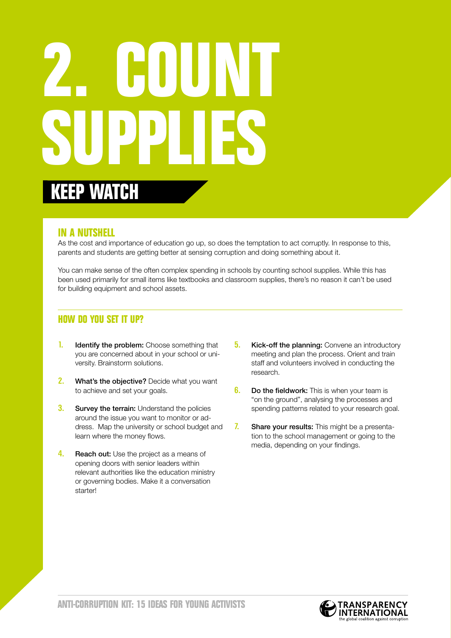## **2. Countains Supplies keep watch**

#### **In a nutshell**

As the cost and importance of education go up, so does the temptation to act corruptly. In response to this, parents and students are getting better at sensing corruption and doing something about it.

You can make sense of the often complex spending in schools by counting school supplies. While this has been used primarily for small items like textbooks and classroom supplies, there's no reason it can't be used for building equipment and school assets.

- **1.** Identify the problem: Choose something that you are concerned about in your school or university. Brainstorm solutions.
- 2. What's the objective? Decide what you want to achieve and set your goals.
- **3.** Survey the terrain: Understand the policies around the issue you want to monitor or address. Map the university or school budget and learn where the money flows.
- 4. Reach out: Use the project as a means of opening doors with senior leaders within relevant authorities like the education ministry or governing bodies. Make it a conversation starter!
- **5.** Kick-off the planning: Convene an introductory meeting and plan the process. Orient and train staff and volunteers involved in conducting the research.
- **6.** Do the fieldwork: This is when your team is "on the ground", analysing the processes and spending patterns related to your research goal.
- 7. Share your results: This might be a presentation to the school management or going to the media, depending on your findings.

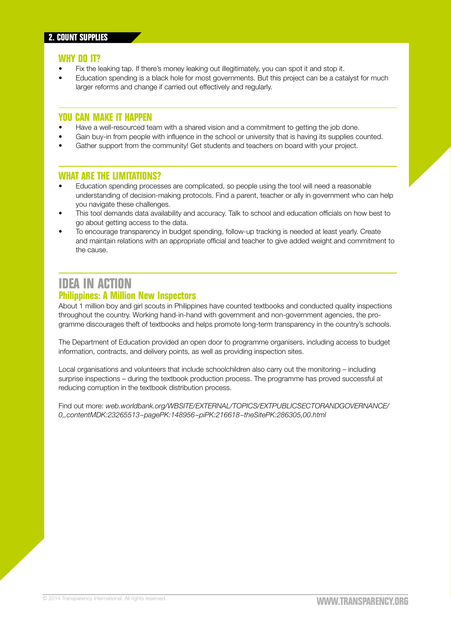- Fix the leaking tap. If there's money leaking out illegitimately, you can spot it and stop it.
- Education spending is a black hole for most governments. But this project can be a catalyst for much larger reforms and change if carried out effectively and regularly.

#### **You can make it happen**

- Have a well-resourced team with a shared vision and a commitment to getting the job done.
- Gain buy-in from people with influence in the school or university that is having its supplies counted.
- Gather support from the community! Get students and teachers on board with your project.

#### **What are the limitations?**

- Education spending processes are complicated, so people using the tool will need a reasonable understanding of decision-making protocols. Find a parent, teacher or ally in government who can help you navigate these challenges.
- This tool demands data availability and accuracy. Talk to school and education officials on how best to go about getting access to the data.
- To encourage transparency in budget spending, follow-up tracking is needed at least yearly. Create and maintain relations with an appropriate official and teacher to give added weight and commitment to the cause.

#### **IDEA IN ACTION**

#### **Philippines: A Million New Inspectors**

About 1 million boy and girl scouts in Philippines have counted textbooks and conducted quality inspections throughout the country. Working hand-in-hand with government and non-government agencies, the programme discourages theft of textbooks and helps promote long-term transparency in the country's schools.

The Department of Education provided an open door to programme organisers, including access to budget information, contracts, and delivery points, as well as providing inspection sites.

Local organisations and volunteers that include schoolchildren also carry out the monitoring – including surprise inspections – during the textbook production process. The programme has proved successful at reducing corruption in the textbook distribution process.

Find out more: *[web.worldbank.org/WBSITE/EXTERNAL/TOPICS/EXTPUBLICSECTORANDGOVERNANCE/](http://web.worldbank.org/WBSITE/EXTERNAL/TOPICS/EXTPUBLICSECTORANDGOVERNANCE/0,,contentMDK:23265513~pagePK:148956~piPK:216618~theSitePK:286305,00.html) [0,,contentMDK:23265513~pagePK:148956~piPK:216618~theSitePK:286305,00.html](http://web.worldbank.org/WBSITE/EXTERNAL/TOPICS/EXTPUBLICSECTORANDGOVERNANCE/0,,contentMDK:23265513~pagePK:148956~piPK:216618~theSitePK:286305,00.html)*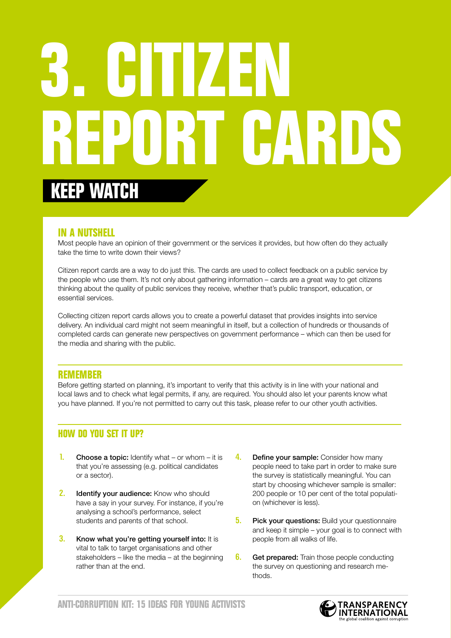# **3. Citizen Report Cards keep watch**

#### **In a nutshell**

Most people have an opinion of their government or the services it provides, but how often do they actually take the time to write down their views?

Citizen report cards are a way to do just this. The cards are used to collect feedback on a public service by the people who use them. It's not only about gathering information – cards are a great way to get citizens thinking about the quality of public services they receive, whether that's public transport, education, or essential services.

Collecting citizen report cards allows you to create a powerful dataset that provides insights into service delivery. An individual card might not seem meaningful in itself, but a collection of hundreds or thousands of completed cards can generate new perspectives on government performance – which can then be used for the media and sharing with the public.

#### **Remember**

Before getting started on planning, it's important to verify that this activity is in line with your national and local laws and to check what legal permits, if any, are required. You should also let your parents know what you have planned. If you're not permitted to carry out this task, please refer to our other youth activities.

- **1.** Choose a topic: Identify what or whom it is that you're assessing (e.g. political candidates or a sector).
- 2. Identify your audience: Know who should have a say in your survey. For instance, if you're analysing a school's performance, select students and parents of that school.
- **3.** Know what you're getting yourself into: It is vital to talk to target organisations and other stakeholders – like the media – at the beginning rather than at the end.
- 4. Define your sample: Consider how many people need to take part in order to make sure the survey is statistically meaningful. You can start by choosing whichever sample is smaller: 200 people or 10 per cent of the total population (whichever is less).
- **5.** Pick your questions: Build your questionnaire and keep it simple – your goal is to connect with people from all walks of life.
- **6.** Get prepared: Train those people conducting the survey on questioning and research methods.

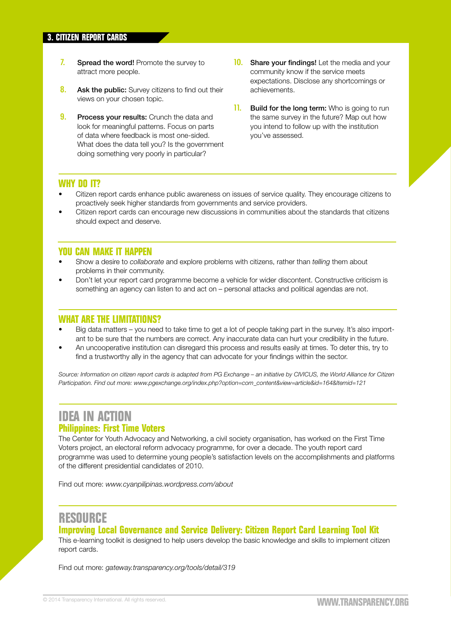- 7. Spread the word! Promote the survey to attract more people.
- 8. Ask the public: Survey citizens to find out their views on your chosen topic.
- **9.** Process your results: Crunch the data and look for meaningful patterns. Focus on parts of data where feedback is most one-sided. What does the data tell you? Is the government doing something very poorly in particular?
- **10.** Share your findings! Let the media and your community know if the service meets expectations. Disclose any shortcomings or achievements.
- 11. Build for the long term: Who is going to run the same survey in the future? Map out how you intend to follow up with the institution you've assessed.

- Citizen report cards enhance public awareness on issues of service quality. They encourage citizens to proactively seek higher standards from governments and service providers.
- Citizen report cards can encourage new discussions in communities about the standards that citizens should expect and deserve.

#### **You can make it happen**

- Show a desire to *collaborate* and explore problems with citizens, rather than *telling* them about problems in their community.
- Don't let your report card programme become a vehicle for wider discontent. Constructive criticism is something an agency can listen to and act on – personal attacks and political agendas are not.

#### **What are the limitations?**

- Big data matters you need to take time to get a lot of people taking part in the survey. It's also important to be sure that the numbers are correct. Any inaccurate data can hurt your credibility in the future.
- An uncooperative institution can disregard this process and results easily at times. To deter this, try to find a trustworthy ally in the agency that can advocate for your findings within the sector.

*Source: Information on citizen report cards is adapted from PG Exchange – an initiative by CIVICUS, the World Alliance for Citizen Participation. Find out more: [www.pgexchange.org/index.php?option=com\\_content&view=article&id=164&Itemid=121](http://www.pgexchange.org/index.php?option=com_content&view=article&id=164&Itemid=121)*

#### **IDEA IN ACTION Philippines: First Time Voters**

The Center for Youth Advocacy and Networking, a civil society organisation, has worked on the First Time Voters project, an electoral reform advocacy programme, for over a decade. The youth report card programme was used to determine young people's satisfaction levels on the accomplishments and platforms of the different presidential candidates of 2010.

Find out more: *[www.cyanpilipinas.wordpress.com/about](http://www.cyanpilipinas.wordpress.com/about)*

#### **RESOURCE**

#### **Improving Local Governance and Service Delivery: Citizen Report Card Learning Tool Kit**

This e-learning toolkit is designed to help users develop the basic knowledge and skills to implement citizen report cards.

Find out more: *[gateway.transparency.org/tools/detail/319](http://gateway.transparency.org/tools/detail/319)*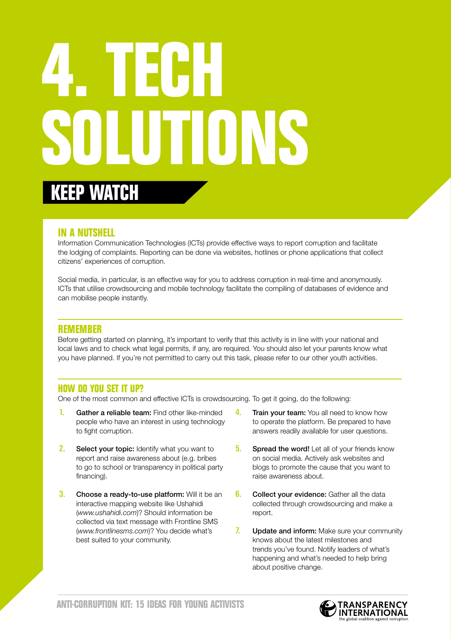## **4. Tech Solutions keep watch**

#### **In a nutshell**

Information Communication Technologies (ICTs) provide effective ways to report corruption and facilitate the lodging of complaints. Reporting can be done via websites, hotlines or phone applications that collect citizens' experiences of corruption.

Social media, in particular, is an effective way for you to address corruption in real-time and anonymously. ICTs that utilise crowdsourcing and mobile technology facilitate the compiling of databases of evidence and can mobilise people instantly.

#### **Remember**

Before getting started on planning, it's important to verify that this activity is in line with your national and local laws and to check what legal permits, if any, are required. You should also let your parents know what you have planned. If you're not permitted to carry out this task, please refer to our other youth activities.

#### **How do you set it up?**

One of the most common and effective ICTs is crowdsourcing. To get it going, do the following:

- 1. Gather a reliable team: Find other like-minded people who have an interest in using technology to fight corruption.
- **2.** Select your topic: Identify what you want to report and raise awareness about (e.g. bribes to go to school or transparency in political party financing).
- **3.** Choose a ready-to-use platform: Will it be an interactive mapping website like Ushahidi (*www.ushahidi.com*)? Should information be collected via text message with Frontline SMS (*www.frontlinesms.com*)? You decide what's best suited to your community.
- **4.** Train your team: You all need to know how to operate the platform. Be prepared to have answers readily available for user questions.
- **5.** Spread the word! Let all of your friends know on social media. Actively ask websites and blogs to promote the cause that you want to raise awareness about.
- **6.** Collect your evidence: Gather all the data collected through crowdsourcing and make a report.
- 7. Update and inform: Make sure your community knows about the latest milestones and trends you've found. Notify leaders of what's happening and what's needed to help bring about positive change.

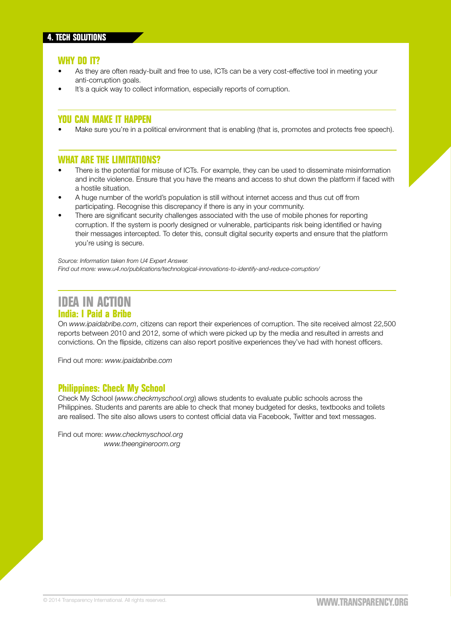- As they are often ready-built and free to use, ICTs can be a very cost-effective tool in meeting your anti-corruption goals.
- It's a quick way to collect information, especially reports of corruption.

#### **You can make it happen**

Make sure you're in a political environment that is enabling (that is, promotes and protects free speech).

#### **What are the limitations?**

- There is the potential for misuse of ICTs. For example, they can be used to disseminate misinformation and incite violence. Ensure that you have the means and access to shut down the platform if faced with a hostile situation.
- A huge number of the world's population is still without internet access and thus cut off from participating. Recognise this discrepancy if there is any in your community.
- There are significant security challenges associated with the use of mobile phones for reporting corruption. If the system is poorly designed or vulnerable, participants risk being identified or having their messages intercepted. To deter this, consult digital security experts and ensure that the platform you're using is secure.

*Source: Information taken from U4 Expert Answer. Find out more: [www.u4.no/publications/technological-innovations-to-identify-and-reduce-corruption/](http://www.u4.no/publications/technological-innovations-to-identify-and-reduce-corruption/)*

#### **IDEA IN ACTION India: I Paid a Bribe**

On *www.ipaidabribe.com*, citizens can report their experiences of corruption. The site received almost 22,500 reports between 2010 and 2012, some of which were picked up by the media and resulted in arrests and convictions. On the flipside, citizens can also report positive experiences they've had with honest officers.

Find out more: *[www.ipaidabribe.com](http://www.ipaidabribe.com)*

#### **Philippines: Check My School**

Check My School (*www.checkmyschool.org*) allows students to evaluate public schools across the Philippines. Students and parents are able to check that money budgeted for desks, textbooks and toilets are realised. The site also allows users to contest official data via Facebook, Twitter and text messages.

Find out more: *[www.checkmyschool.org](http:// www.checkmyschool.org)  [www.theengineroom.org](http://www.theengineroom.org)*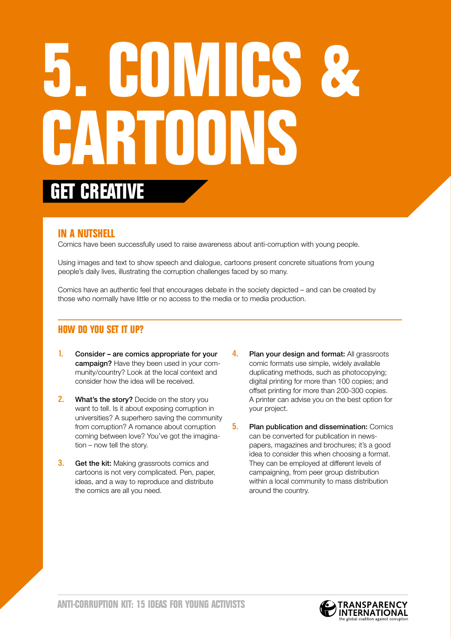# **5. Comics &**  CARTOONS **get creative**

#### **In a nutshell**

Comics have been successfully used to raise awareness about anti-corruption with young people.

Using images and text to show speech and dialogue, cartoons present concrete situations from young people's daily lives, illustrating the corruption challenges faced by so many.

Comics have an authentic feel that encourages debate in the society depicted – and can be created by those who normally have little or no access to the media or to media production.

- $\mathbf{l}$ . Consider are comics appropriate for your campaign? Have they been used in your community/country? Look at the local context and consider how the idea will be received.
- **2.** What's the story? Decide on the story you want to tell. Is it about exposing corruption in universities? A superhero saving the community from corruption? A romance about corruption coming between love? You've got the imagination – now tell the story.
- **3.** Get the kit: Making grassroots comics and cartoons is not very complicated. Pen, paper, ideas, and a way to reproduce and distribute the comics are all you need.
- **4.** Plan your design and format: All grassroots comic formats use simple, widely available duplicating methods, such as photocopying; digital printing for more than 100 copies; and offset printing for more than 200-300 copies. A printer can advise you on the best option for your project.
- **5.** Plan publication and dissemination: Comics can be converted for publication in newspapers, magazines and brochures; it's a good idea to consider this when choosing a format. They can be employed at different levels of campaigning, from peer group distribution within a local community to mass distribution around the country.

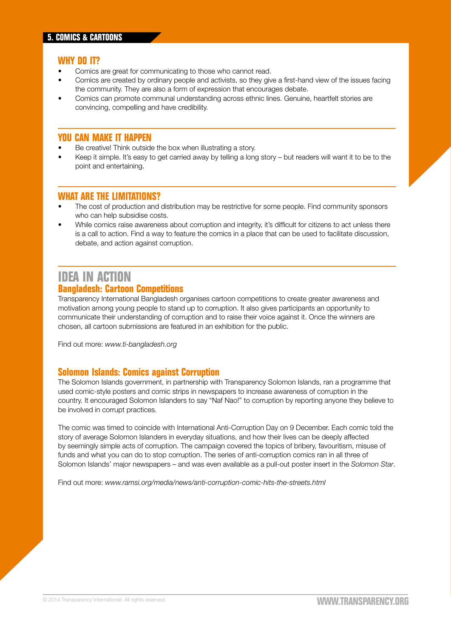- Comics are great for communicating to those who cannot read.
- Comics are created by ordinary people and activists, so they give a first-hand view of the issues facing the community. They are also a form of expression that encourages debate.
- Comics can promote communal understanding across ethnic lines. Genuine, heartfelt stories are convincing, compelling and have credibility.

#### **You can make it happen**

- Be creative! Think outside the box when illustrating a story.
- Keep it simple. It's easy to get carried away by telling a long story but readers will want it to be to the point and entertaining.

#### **What are the limitations?**

- The cost of production and distribution may be restrictive for some people. Find community sponsors who can help subsidise costs.
- While comics raise awareness about corruption and integrity, it's difficult for citizens to act unless there is a call to action. Find a way to feature the comics in a place that can be used to facilitate discussion, debate, and action against corruption.

#### **IDEA IN ACTION Bangladesh: Cartoon Competitions**

Transparency International Bangladesh organises cartoon competitions to create greater awareness and motivation among young people to stand up to corruption. It also gives participants an opportunity to communicate their understanding of corruption and to raise their voice against it. Once the winners are chosen, all cartoon submissions are featured in an exhibition for the public.

Find out more: *[www.ti-bangladesh.org](http://www.ti-bangladesh.org)*

#### **Solomon Islands: Comics against Corruption**

The Solomon Islands government, in partnership with Transparency Solomon Islands, ran a programme that used comic-style posters and comic strips in newspapers to increase awareness of corruption in the country. It encouraged Solomon Islanders to say "Naf Nao!" to corruption by reporting anyone they believe to be involved in corrupt practices.

The comic was timed to coincide with International Anti-Corruption Day on 9 December. Each comic told the story of average Solomon Islanders in everyday situations, and how their lives can be deeply affected by seemingly simple acts of corruption. The campaign covered the topics of bribery, favouritism, misuse of funds and what you can do to stop corruption. The series of anti-corruption comics ran in all three of Solomon Islands' major newspapers – and was even available as a pull-out poster insert in the *Solomon Star*.

Find out more: *[www.ramsi.org/media/news/anti-corruption-comic-hits-the-streets.html](http://www.ramsi.org/media/news/anti-corruption-comic-hits-the-streets.html)*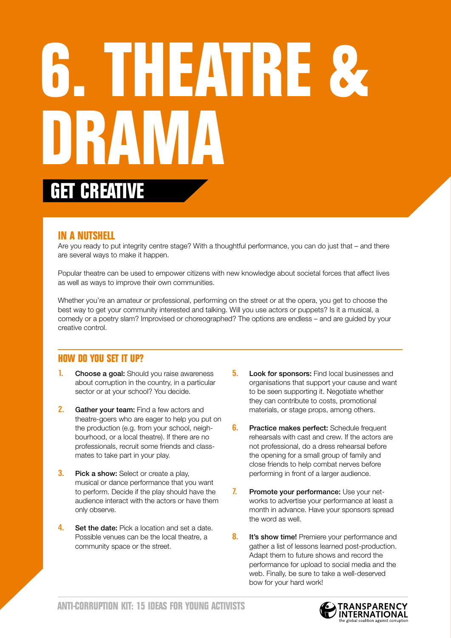# **6. Theatre & DRAMA get creative**

#### **In a nutshell**

Are you ready to put integrity centre stage? With a thoughtful performance, you can do just that – and there are several ways to make it happen.

Popular theatre can be used to empower citizens with new knowledge about societal forces that affect lives as well as ways to improve their own communities.

Whether you're an amateur or professional, performing on the street or at the opera, you get to choose the best way to get your community interested and talking. Will you use actors or puppets? Is it a musical, a comedy or a poetry slam? Improvised or choreographed? The options are endless – and are guided by your creative control.

- **1.** Choose a goal: Should you raise awareness about corruption in the country, in a particular sector or at your school? You decide.
- 2. Gather your team: Find a few actors and theatre-goers who are eager to help you put on the production (e.g. from your school, neighbourhood, or a local theatre). If there are no professionals, recruit some friends and classmates to take part in your play.
- **3.** Pick a show: Select or create a play, musical or dance performance that you want to perform. Decide if the play should have the audience interact with the actors or have them only observe.
- 4. Set the date: Pick a location and set a date. Possible venues can be the local theatre, a community space or the street.
- **5.** Look for sponsors: Find local businesses and organisations that support your cause and want to be seen supporting it. Negotiate whether they can contribute to costs, promotional materials, or stage props, among others.
- **6.** Practice makes perfect: Schedule frequent rehearsals with cast and crew. If the actors are not professional, do a dress rehearsal before the opening for a small group of family and close friends to help combat nerves before performing in front of a larger audience.
- 7. Promote your performance: Use your networks to advertise your performance at least a month in advance. Have your sponsors spread the word as well.
- **8.** It's show time! Premiere your performance and gather a list of lessons learned post-production. Adapt them to future shows and record the performance for upload to social media and the web. Finally, be sure to take a well-deserved bow for your hard work!

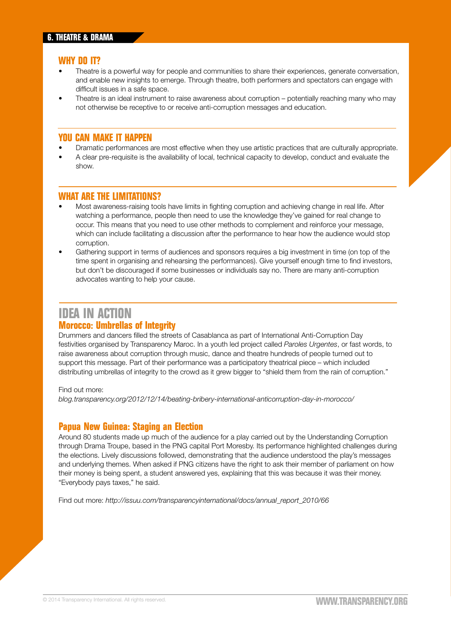- Theatre is a powerful way for people and communities to share their experiences, generate conversation, and enable new insights to emerge. Through theatre, both performers and spectators can engage with difficult issues in a safe space.
- Theatre is an ideal instrument to raise awareness about corruption potentially reaching many who may not otherwise be receptive to or receive anti-corruption messages and education.

#### **You can make it happen**

- Dramatic performances are most effective when they use artistic practices that are culturally appropriate.
- A clear pre-requisite is the availability of local, technical capacity to develop, conduct and evaluate the show.

#### **What are the limitations?**

- Most awareness-raising tools have limits in fighting corruption and achieving change in real life. After watching a performance, people then need to use the knowledge they've gained for real change to occur. This means that you need to use other methods to complement and reinforce your message, which can include facilitating a discussion after the performance to hear how the audience would stop corruption.
- Gathering support in terms of audiences and sponsors requires a big investment in time (on top of the time spent in organising and rehearsing the performances). Give yourself enough time to find investors, but don't be discouraged if some businesses or individuals say no. There are many anti-corruption advocates wanting to help your cause.

#### **IDEA IN ACTION Morocco: Umbrellas of Integrity**

Drummers and dancers filled the streets of Casablanca as part of International Anti-Corruption Day festivities organised by Transparency Maroc. In a youth led project called *Paroles Urgentes*, or fast words, to raise awareness about corruption through music, dance and theatre hundreds of people turned out to support this message. Part of their performance was a participatory theatrical piece – which included distributing umbrellas of integrity to the crowd as it grew bigger to "shield them from the rain of corruption."

#### Find out more:

*[blog.transparency.org/2012/12/14/beating-bribery-international-anticorruption-day-in-morocco/](http://blog.transparency.org/2012/12/14/beating-bribery-international-anticorruption-day-in-morocco/)*

#### **Papua New Guinea: Staging an Election**

Around 80 students made up much of the audience for a play carried out by the Understanding Corruption through Drama Troupe, based in the PNG capital Port Moresby. Its performance highlighted challenges during the elections. Lively discussions followed, demonstrating that the audience understood the play's messages and underlying themes. When asked if PNG citizens have the right to ask their member of parliament on how their money is being spent, a student answered yes, explaining that this was because it was their money. "Everybody pays taxes," he said.

Find out more:*http://[issuu.com/transparencyinternational/docs/annual\\_report\\_2010/66](http://issuu.com/transparencyinternational/docs/annual_report_2010/66)*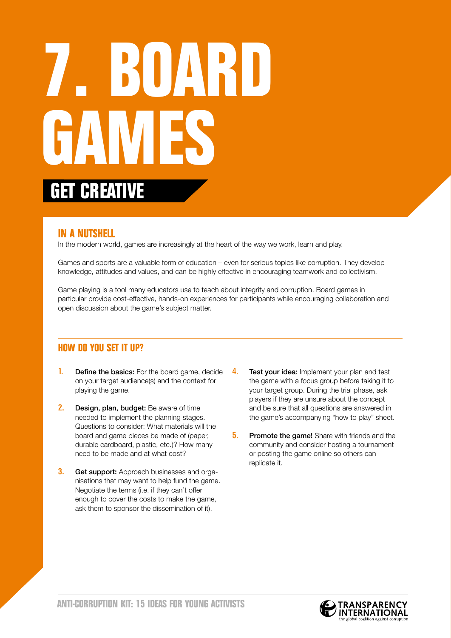# **7. Board Games get creative**

#### **In a nutshell**

In the modern world, games are increasingly at the heart of the way we work, learn and play.

Games and sports are a valuable form of education – even for serious topics like corruption. They develop knowledge, attitudes and values, and can be highly effective in encouraging teamwork and collectivism.

Game playing is a tool many educators use to teach about integrity and corruption. Board games in particular provide cost-effective, hands-on experiences for participants while encouraging collaboration and open discussion about the game's subject matter.

- **1.** Define the basics: For the board game, decide on your target audience(s) and the context for playing the game.
- 2. Design, plan, budget: Be aware of time needed to implement the planning stages. Questions to consider: What materials will the board and game pieces be made of (paper, durable cardboard, plastic, etc.)? How many need to be made and at what cost?
- **3.** Get support: Approach businesses and organisations that may want to help fund the game. Negotiate the terms (i.e. if they can't offer enough to cover the costs to make the game, ask them to sponsor the dissemination of it).
- 4. Test your idea: Implement your plan and test the game with a focus group before taking it to your target group. During the trial phase, ask players if they are unsure about the concept and be sure that all questions are answered in the game's accompanying "how to play" sheet.
- **5.** Promote the game! Share with friends and the community and consider hosting a tournament or posting the game online so others can replicate it.

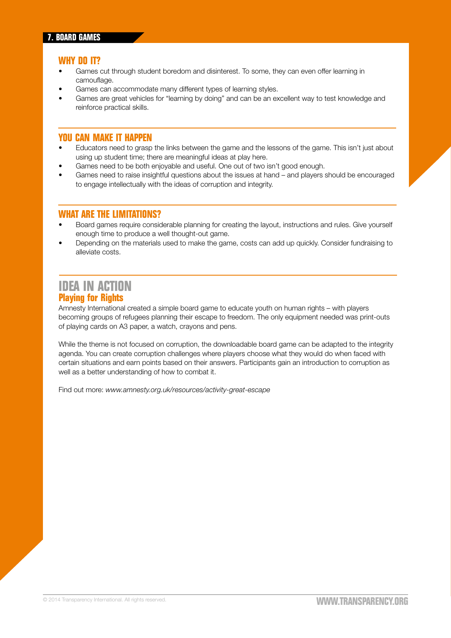- Games cut through student boredom and disinterest. To some, they can even offer learning in camouflage.
- Games can accommodate many different types of learning styles.
- Games are great vehicles for "learning by doing" and can be an excellent way to test knowledge and reinforce practical skills.

#### **You can make it happen**

- Educators need to grasp the links between the game and the lessons of the game. This isn't just about using up student time; there are meaningful ideas at play here.
- Games need to be both enjoyable and useful. One out of two isn't good enough.
- Games need to raise insightful questions about the issues at hand and players should be encouraged to engage intellectually with the ideas of corruption and integrity.

#### **What are the limitations?**

- Board games require considerable planning for creating the layout, instructions and rules. Give yourself enough time to produce a well thought-out game.
- Depending on the materials used to make the game, costs can add up quickly. Consider fundraising to alleviate costs.

#### **IDEA IN ACTION Playing for Rights**

Amnesty International created a simple board game to educate youth on human rights – with players becoming groups of refugees planning their escape to freedom. The only equipment needed was print-outs of playing cards on A3 paper, a watch, crayons and pens.

While the theme is not focused on corruption, the downloadable board game can be adapted to the integrity agenda. You can create corruption challenges where players choose what they would do when faced with certain situations and earn points based on their answers. Participants gain an introduction to corruption as well as a better understanding of how to combat it.

Find out more: *[www.amnesty.org.uk/resources/activity-great-escape](http://www.amnesty.org.uk/resources/activity-great-escape)*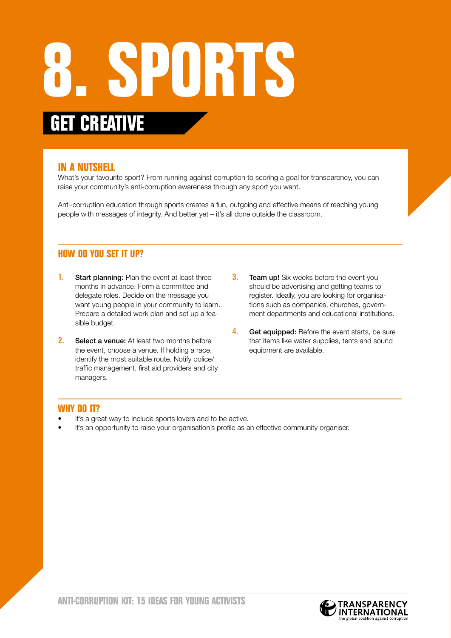### **8. Sports get creative**

#### **In a nutshell**

What's your favourite sport? From running against corruption to scoring a goal for transparency, you can raise your community's anti-corruption awareness through any sport you want.

Anti-corruption education through sports creates a fun, outgoing and effective means of reaching young people with messages of integrity. And better yet – it's all done outside the classroom.

#### **How do you set it up?**

- **1.** Start planning: Plan the event at least three months in advance. Form a committee and delegate roles. Decide on the message you want young people in your community to learn. Prepare a detailed work plan and set up a feasible budget.
- 2. Select a venue: At least two months before the event, choose a venue. If holding a race, identify the most suitable route. Notify police/ traffic management, first aid providers and city managers.
- **3.** Team up! Six weeks before the event you should be advertising and getting teams to register. Ideally, you are looking for organisations such as companies, churches, government departments and educational institutions.
- 4. Get equipped: Before the event starts, be sure that items like water supplies, tents and sound equipment are available.

#### **Why do it?**

- It's a great way to include sports lovers and to be active.
- It's an opportunity to raise your organisation's profile as an effective community organiser.

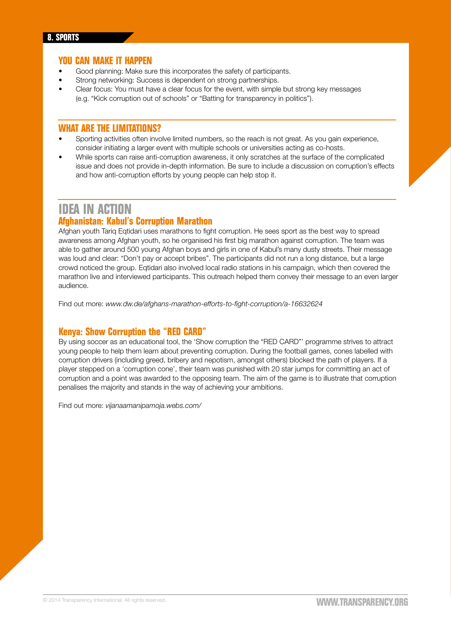#### **You can make it happen**

- Good planning: Make sure this incorporates the safety of participants.
- Strong networking: Success is dependent on strong partnerships.
- Clear focus: You must have a clear focus for the event, with simple but strong key messages (e.g. "Kick corruption out of schools" or "Batting for transparency in politics").

#### **What are the limitations?**

- Sporting activities often involve limited numbers, so the reach is not great. As you gain experience, consider initiating a larger event with multiple schools or universities acting as co-hosts.
- While sports can raise anti-corruption awareness, it only scratches at the surface of the complicated issue and does not provide in-depth information. Be sure to include a discussion on corruption's effects and how anti-corruption efforts by young people can help stop it.

#### **IDEA IN ACTION**

#### **Afghanistan: Kabul's Corruption Marathon**

Afghan youth Tariq Eqtidari uses marathons to fight corruption. He sees sport as the best way to spread awareness among Afghan youth, so he organised his first big marathon against corruption. The team was able to gather around 500 young Afghan boys and girls in one of Kabul's many dusty streets. Their message was loud and clear: "Don't pay or accept bribes". The participants did not run a long distance, but a large crowd noticed the group. Eqtidari also involved local radio stations in his campaign, which then covered the marathon live and interviewed participants. This outreach helped them convey their message to an even larger audience.

Find out more: *[www.dw.de/afghans-marathon-efforts-to-fight-corruption/a-16632624](http://www.dw.de/afghans-marathon-efforts-to-fight-corruption/a-16632624)*

#### **Kenya: Show Corruption the "RED CARD"**

By using soccer as an educational tool, the 'Show corruption the "RED CARD"' programme strives to attract young people to help them learn about preventing corruption. During the football games, cones labelled with corruption drivers (including greed, bribery and nepotism, amongst others) blocked the path of players. If a player stepped on a 'corruption cone', their team was punished with 20 star jumps for committing an act of corruption and a point was awarded to the opposing team. The aim of the game is to illustrate that corruption penalises the majority and stands in the way of achieving your ambitions.

Find out more: *[vijanaamanipamoja.webs.com/](http://vijanaamanipamoja.webs.com/)*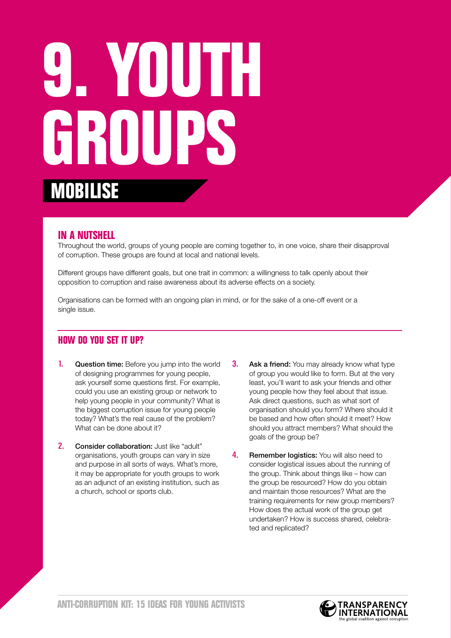# **9. Youth Groups mobilise**

#### **In a nutshell**

Throughout the world, groups of young people are coming together to, in one voice, share their disapproval of corruption. These groups are found at local and national levels.

Different groups have different goals, but one trait in common: a willingness to talk openly about their opposition to corruption and raise awareness about its adverse effects on a society.

Organisations can be formed with an ongoing plan in mind, or for the sake of a one-off event or a single issue.

- **1.** Question time: Before you jump into the world of designing programmes for young people, ask yourself some questions first. For example, could you use an existing group or network to help young people in your community? What is the biggest corruption issue for young people today? What's the real cause of the problem? What can be done about it?
- 2. Consider collaboration: Just like "adult" organisations, youth groups can vary in size and purpose in all sorts of ways. What's more, it may be appropriate for youth groups to work as an adjunct of an existing institution, such as a church, school or sports club.
- **3.** Ask a friend: You may already know what type of group you would like to form. But at the very least, you'll want to ask your friends and other young people how they feel about that issue. Ask direct questions, such as what sort of organisation should you form? Where should it be based and how often should it meet? How should you attract members? What should the goals of the group be?
- **4.** Remember logistics: You will also need to consider logistical issues about the running of the group. Think about things like – how can the group be resourced? How do you obtain and maintain those resources? What are the training requirements for new group members? How does the actual work of the group get undertaken? How is success shared, celebrated and replicated?

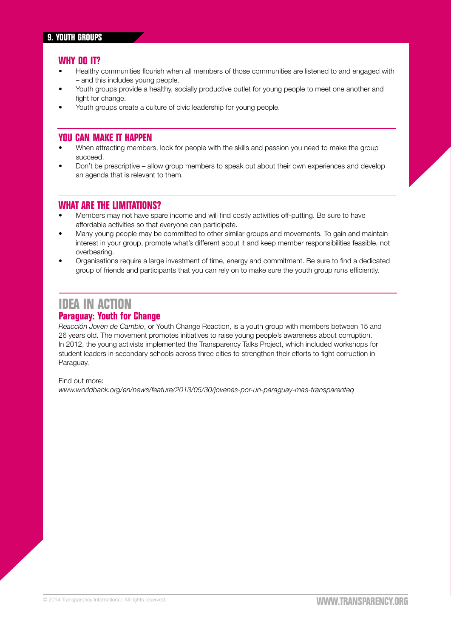- Healthy communities flourish when all members of those communities are listened to and engaged with – and this includes young people.
- Youth groups provide a healthy, socially productive outlet for young people to meet one another and fight for change.
- Youth groups create a culture of civic leadership for young people.

#### **You can make it happen**

- When attracting members, look for people with the skills and passion you need to make the group succeed.
- Don't be prescriptive allow group members to speak out about their own experiences and develop an agenda that is relevant to them.

#### **What are the limitations?**

- Members may not have spare income and will find costly activities off-putting. Be sure to have affordable activities so that everyone can participate.
- Many young people may be committed to other similar groups and movements. To gain and maintain interest in your group, promote what's different about it and keep member responsibilities feasible, not overbearing.
- Organisations require a large investment of time, energy and commitment. Be sure to find a dedicated group of friends and participants that you can rely on to make sure the youth group runs efficiently.

#### **IDEA IN ACTION**

#### **Paraguay: Youth for Change**

*Reacción Joven de Cambio*, or Youth Change Reaction, is a youth group with members between 15 and 26 years old. The movement promotes initiatives to raise young people's awareness about corruption. In 2012, the young activists implemented the Transparency Talks Project, which included workshops for student leaders in secondary schools across three cities to strengthen their efforts to fight corruption in Paraguay.

Find out more:

*[www.worldbank.org/en/news/feature/2013/05/30/jovenes-por-un-paraguay-mas-transparenteq](http://www.worldbank.org/en/news/feature/2013/05/30/jovenes-por-un-paraguay-mas-transparenteq)*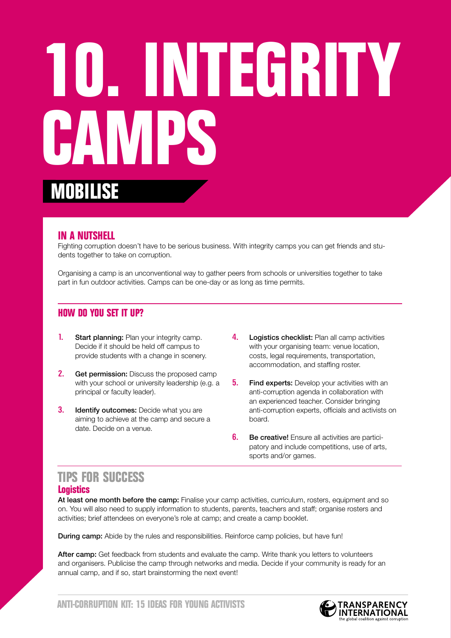## **10. Integrity Camps mobilise**

#### **In a nutshell**

Fighting corruption doesn't have to be serious business. With integrity camps you can get friends and students together to take on corruption.

Organising a camp is an unconventional way to gather peers from schools or universities together to take part in fun outdoor activities. Camps can be one-day or as long as time permits.

#### **How do you set it up?**

- **1.** Start planning: Plan your integrity camp. Decide if it should be held off campus to provide students with a change in scenery.
- **2.** Get permission: Discuss the proposed camp with your school or university leadership (e.g. a principal or faculty leader).
- **3.** Identify outcomes: Decide what you are aiming to achieve at the camp and secure a date. Decide on a venue.
- 4. Logistics checklist: Plan all camp activities with your organising team: venue location, costs, legal requirements, transportation, accommodation, and staffing roster.
- **5.** Find experts: Develop your activities with an anti-corruption agenda in collaboration with an experienced teacher. Consider bringing anti-corruption experts, officials and activists on board.
- **6.** Be creative! Ensure all activities are participatory and include competitions, use of arts, sports and/or games.

#### **TIPS FOR SUCCESS Logistics**

At least one month before the camp: Finalise your camp activities, curriculum, rosters, equipment and so on. You will also need to supply information to students, parents, teachers and staff; organise rosters and activities; brief attendees on everyone's role at camp; and create a camp booklet.

**During camp:** Abide by the rules and responsibilities. Reinforce camp policies, but have fun!

After camp: Get feedback from students and evaluate the camp. Write thank you letters to volunteers and organisers. Publicise the camp through networks and media. Decide if your community is ready for an annual camp, and if so, start brainstorming the next event!

**Anti-Corruption Kit: 15 ideas for young Activists**

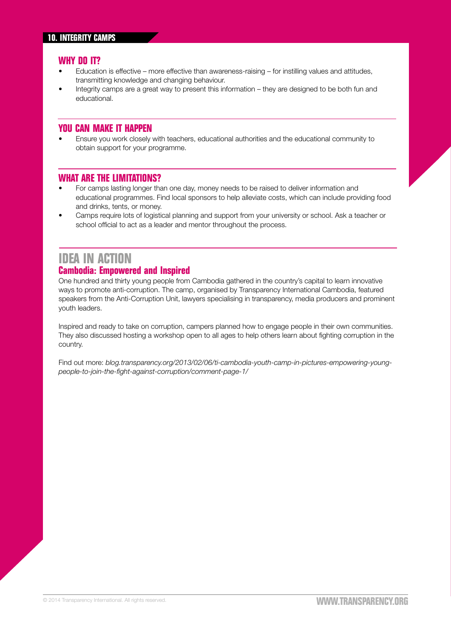- Education is effective more effective than awareness-raising for instilling values and attitudes, transmitting knowledge and changing behaviour.
- Integrity camps are a great way to present this information they are designed to be both fun and educational.

#### **You can make it happen**

• Ensure you work closely with teachers, educational authorities and the educational community to obtain support for your programme.

#### **What are the limitations?**

- For camps lasting longer than one day, money needs to be raised to deliver information and educational programmes. Find local sponsors to help alleviate costs, which can include providing food and drinks, tents, or money.
- Camps require lots of logistical planning and support from your university or school. Ask a teacher or school official to act as a leader and mentor throughout the process.

#### **IDEA IN ACTION Cambodia: Empowered and Inspired**

One hundred and thirty young people from Cambodia gathered in the country's capital to learn innovative ways to promote anti-corruption. The camp, organised by Transparency International Cambodia, featured speakers from the Anti-Corruption Unit, lawyers specialising in transparency, media producers and prominent youth leaders.

Inspired and ready to take on corruption, campers planned how to engage people in their own communities. They also discussed hosting a workshop open to all ages to help others learn about fighting corruption in the country.

Find out more: *[blog.transparency.org/2013/02/06/ti-cambodia-youth-camp-in-pictures-empowering-young](http://blog.transparency.org/2013/02/06/ti-cambodia-youth-camp-in-pictures-empowering-young-people-to-join-the-fight-against-corruption/comment-page-1/)[people-to-join-the-fight-against-corruption/comment-page-1/](http://blog.transparency.org/2013/02/06/ti-cambodia-youth-camp-in-pictures-empowering-young-people-to-join-the-fight-against-corruption/comment-page-1/)*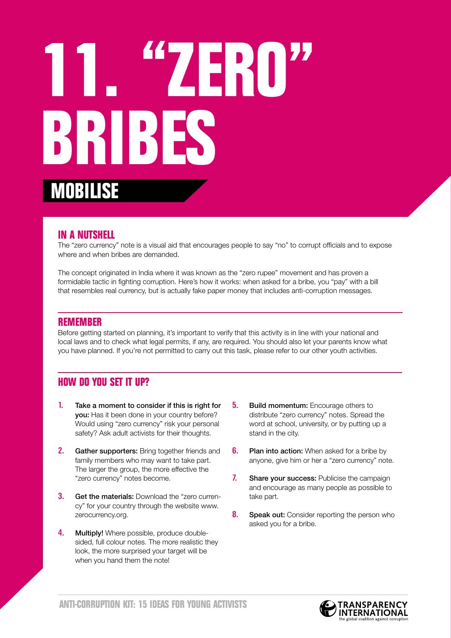## **11. "Zero" Bribes mobilise**

#### **In a nutshell**

The "zero currency" note is a visual aid that encourages people to say "no" to corrupt officials and to expose where and when bribes are demanded.

The concept originated in India where it was known as the "zero rupee" movement and has proven a formidable tactic in fighting corruption. Here's how it works: when asked for a bribe, you "pay" with a bill that resembles real currency, but is actually fake paper money that includes anti-corruption messages.

#### **Remember**

Before getting started on planning, it's important to verify that this activity is in line with your national and local laws and to check what legal permits, if any, are required. You should also let your parents know what you have planned. If you're not permitted to carry out this task, please refer to our other youth activities.

- 1. Take a moment to consider if this is right for you: Has it been done in your country before? Would using "zero currency" risk your personal safety? Ask adult activists for their thoughts.
- 2. Gather supporters: Bring together friends and family members who may want to take part. The larger the group, the more effective the "zero currency" notes become.
- **3.** Get the materials: Download the "zero currency" for your country through the website www. zerocurrency.org.
- 4. Multiply! Where possible, produce doublesided, full colour notes. The more realistic they look, the more surprised your target will be when you hand them the note!
- **5.** Build momentum: Encourage others to distribute "zero currency" notes. Spread the word at school, university, or by putting up a stand in the city.
- **6.** Plan into action: When asked for a bribe by anyone, give him or her a "zero currency" note.
- 7. Share your success: Publicise the campaign and encourage as many people as possible to take part.
- 8. Speak out: Consider reporting the person who asked you for a bribe.

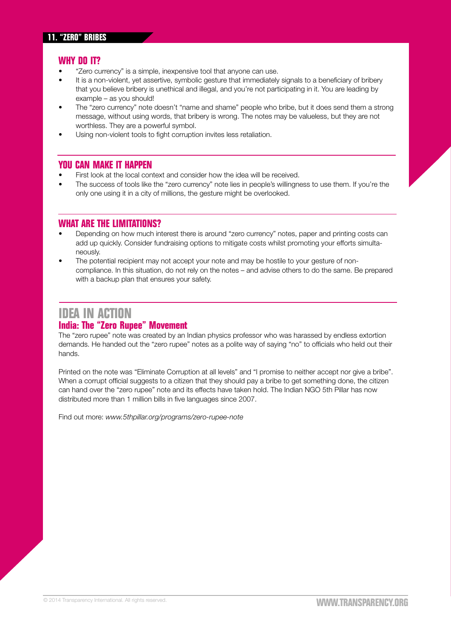- "Zero currency" is a simple, inexpensive tool that anyone can use.
- It is a non-violent, yet assertive, symbolic gesture that immediately signals to a beneficiary of bribery that you believe bribery is unethical and illegal, and you're not participating in it. You are leading by example – as you should!
- The "zero currency" note doesn't "name and shame" people who bribe, but it does send them a strong message, without using words, that bribery is wrong. The notes may be valueless, but they are not worthless. They are a powerful symbol.
- Using non-violent tools to fight corruption invites less retaliation.

#### **You can make it happen**

- First look at the local context and consider how the idea will be received.
- The success of tools like the "zero currency" note lies in people's willingness to use them. If you're the only one using it in a city of millions, the gesture might be overlooked.

#### **What are the limitations?**

- Depending on how much interest there is around "zero currency" notes, paper and printing costs can add up quickly. Consider fundraising options to mitigate costs whilst promoting your efforts simultaneously.
- The potential recipient may not accept your note and may be hostile to your gesture of noncompliance. In this situation, do not rely on the notes – and advise others to do the same. Be prepared with a backup plan that ensures your safety.

#### **IDEA IN ACTION India: The "Zero Rupee" Movement**

The "zero rupee" note was created by an Indian physics professor who was harassed by endless extortion demands. He handed out the "zero rupee" notes as a polite way of saying "no" to officials who held out their hands.

Printed on the note was "Eliminate Corruption at all levels" and "I promise to neither accept nor give a bribe". When a corrupt official suggests to a citizen that they should pay a bribe to get something done, the citizen can hand over the "zero rupee" note and its effects have taken hold. The Indian NGO 5th Pillar has now distributed more than 1 million bills in five languages since 2007.

Find out more: *[www.5thpillar.org/programs/zero-rupee-note](http://www.5thpillar.org/programs/zero-rupee-note)*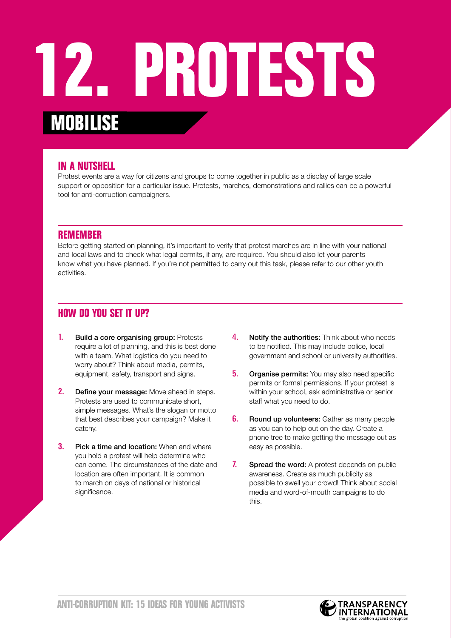### **12. Protests mobilise**

#### **In a nutshell**

Protest events are a way for citizens and groups to come together in public as a display of large scale support or opposition for a particular issue. Protests, marches, demonstrations and rallies can be a powerful tool for anti-corruption campaigners.

#### **Remember**

Before getting started on planning, it's important to verify that protest marches are in line with your national and local laws and to check what legal permits, if any, are required. You should also let your parents know what you have planned. If you're not permitted to carry out this task, please refer to our other youth activities.

- 1. Build a core organising group: Protests require a lot of planning, and this is best done with a team. What logistics do you need to worry about? Think about media, permits, equipment, safety, transport and signs.
- **2.** Define your message: Move ahead in steps. Protests are used to communicate short, simple messages. What's the slogan or motto that best describes your campaign? Make it catchy.
- **3.** Pick a time and location: When and where you hold a protest will help determine who can come. The circumstances of the date and location are often important. It is common to march on days of national or historical significance.
- 4. Notify the authorities: Think about who needs to be notified. This may include police, local government and school or university authorities.
- **5.** Organise permits: You may also need specific permits or formal permissions. If your protest is within your school, ask administrative or senior staff what you need to do.
- **6.** Round up volunteers: Gather as many people as you can to help out on the day. Create a phone tree to make getting the message out as easy as possible.
- 7. Spread the word: A protest depends on public awareness. Create as much publicity as possible to swell your crowd! Think about social media and word-of-mouth campaigns to do this.

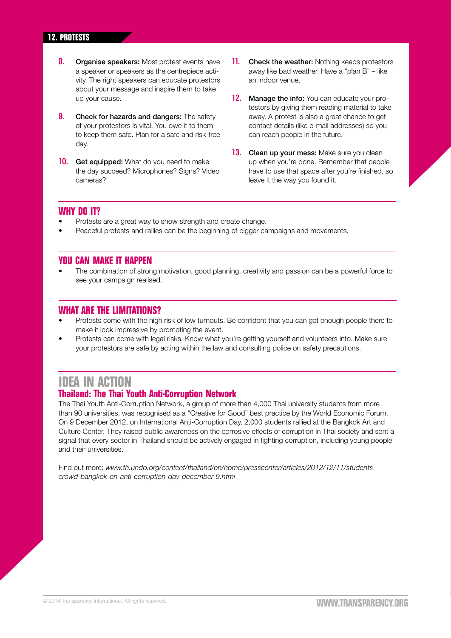#### **12. protests**

- 8. Organise speakers: Most protest events have a speaker or speakers as the centrepiece activity. The right speakers can educate protestors about your message and inspire them to take up your cause.
- **9.** Check for hazards and dangers: The safety of your protestors is vital. You owe it to them to keep them safe. Plan for a safe and risk-free day.
- **10.** Get equipped: What do you need to make the day succeed? Microphones? Signs? Video cameras?
- **11.** Check the weather: Nothing keeps protestors away like bad weather. Have a "plan B" – like an indoor venue.
- 12. Manage the info: You can educate your protestors by giving them reading material to take away. A protest is also a great chance to get contact details (like e-mail addresses) so you can reach people in the future.
- 13. Clean up your mess: Make sure you clean up when you're done. Remember that people have to use that space after you're finished, so leave it the way you found it.

#### **WHY DO IT?**

- Protests are a great way to show strength and create change.
- Peaceful protests and rallies can be the beginning of bigger campaigns and movements.

#### **You can make it happen**

• The combination of strong motivation, good planning, creativity and passion can be a powerful force to see your campaign realised.

#### **What are the limitations?**

- Protests come with the high risk of low turnouts. Be confident that you can get enough people there to make it look impressive by promoting the event.
- Protests can come with legal risks. Know what you're getting yourself and volunteers into. Make sure your protestors are safe by acting within the law and consulting police on safety precautions.

#### **IDEA IN ACTION**

#### **Thailand: The Thai Youth Anti-Corruption Network**

The Thai Youth Anti-Corruption Network, a group of more than 4,000 Thai university students from more than 90 universities, was recognised as a "Creative for Good" best practice by the World Economic Forum. On 9 December 2012, on International Anti-Corruption Day, 2,000 students rallied at the Bangkok Art and Culture Center. They raised public awareness on the corrosive effects of corruption in Thai society and sent a signal that every sector in Thailand should be actively engaged in fighting corruption, including young people and their universities.

Find out more: *[www.th.undp.org/content/thailand/en/home/presscenter/articles/2012/12/11/students](http://www.th.undp.org/content/thailand/en/home/presscenter/articles/2012/12/11/students-crowd-bangkok-on-anti-corruption-day-december-9.html)[crowd-bangkok-on-anti-corruption-day-december-9.html](http://www.th.undp.org/content/thailand/en/home/presscenter/articles/2012/12/11/students-crowd-bangkok-on-anti-corruption-day-december-9.html)*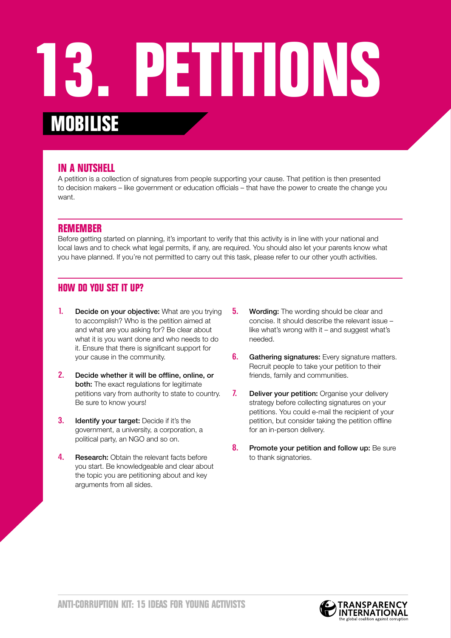### **13. Petitions mobilise**

#### **In a nutshell**

A petition is a collection of signatures from people supporting your cause. That petition is then presented to decision makers – like government or education officials – that have the power to create the change you want.

#### **Remember**

Before getting started on planning, it's important to verify that this activity is in line with your national and local laws and to check what legal permits, if any, are required. You should also let your parents know what you have planned. If you're not permitted to carry out this task, please refer to our other youth activities.

- 1. Decide on your objective: What are you trying to accomplish? Who is the petition aimed at and what are you asking for? Be clear about what it is you want done and who needs to do it. Ensure that there is significant support for your cause in the community.
- 2. Decide whether it will be offline, online, or both: The exact regulations for legitimate petitions vary from authority to state to country. Be sure to know yours!
- **3.** Identify your target: Decide if it's the government, a university, a corporation, a political party, an NGO and so on.
- 4. Research: Obtain the relevant facts before you start. Be knowledgeable and clear about the topic you are petitioning about and key arguments from all sides.
- **5.** Wording: The wording should be clear and concise. It should describe the relevant issue – like what's wrong with it – and suggest what's needed.
- **6.** Gathering signatures: Every signature matters. Recruit people to take your petition to their friends, family and communities.
- 7. Deliver your petition: Organise your delivery strategy before collecting signatures on your petitions. You could e-mail the recipient of your petition, but consider taking the petition offline for an in-person delivery.
- 8. Promote your petition and follow up: Be sure to thank signatories.

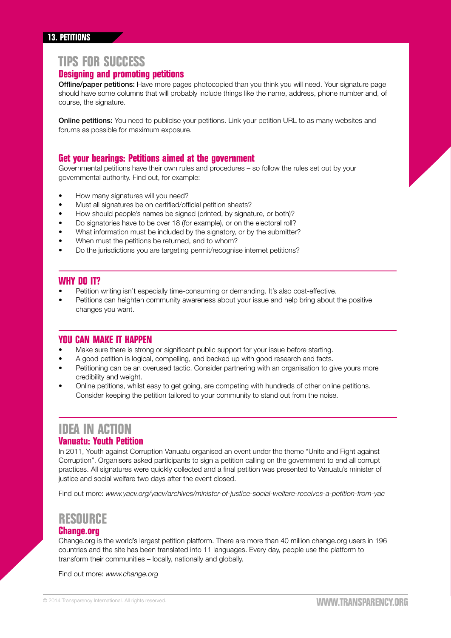#### **13. petitions**

#### **TIPS FOR SUCCESS**

#### **Designing and promoting petitions**

Offline/paper petitions: Have more pages photocopied than you think you will need. Your signature page should have some columns that will probably include things like the name, address, phone number and, of course, the signature.

**Online petitions:** You need to publicise your petitions. Link your petition URL to as many websites and forums as possible for maximum exposure.

#### **Get your bearings: Petitions aimed at the government**

Governmental petitions have their own rules and procedures – so follow the rules set out by your governmental authority. Find out, for example:

- How many signatures will you need?
- Must all signatures be on certified/official petition sheets?
- How should people's names be signed (printed, by signature, or both)?
- Do signatories have to be over 18 (for example), or on the electoral roll?
- What information must be included by the signatory, or by the submitter?
- When must the petitions be returned, and to whom?
- Do the jurisdictions you are targeting permit/recognise internet petitions?

#### **Why do it?**

- Petition writing isn't especially time-consuming or demanding. It's also cost-effective.
- Petitions can heighten community awareness about your issue and help bring about the positive changes you want.

#### **You can make it happen**

- Make sure there is strong or significant public support for your issue before starting.
- A good petition is logical, compelling, and backed up with good research and facts.
- Petitioning can be an overused tactic. Consider partnering with an organisation to give yours more credibility and weight.
- Online petitions, whilst easy to get going, are competing with hundreds of other online petitions. Consider keeping the petition tailored to your community to stand out from the noise.

#### **IDEA IN ACTION**

#### **Vanuatu: Youth Petition**

In 2011, Youth against Corruption Vanuatu organised an event under the theme "Unite and Fight against Corruption". Organisers asked participants to sign a petition calling on the government to end all corrupt practices. All signatures were quickly collected and a final petition was presented to Vanuatu's minister of justice and social welfare two days after the event closed.

Find out more: *[www.yacv.org/yacv/archives/minister-of-justice-social-welfare-receives-a-petition-from-yac](http://www.yacv.org/yacv/archives/minister-of-justice-social-welfare-receives-a-petition-from-yac)*

#### **RESOURCE Change.org**

Change.org is the world's largest petition platform. There are more than 40 million change.org users in 196 countries and the site has been translated into 11 languages. Every day, people use the platform to transform their communities – locally, nationally and globally.

Find out more: *[www.change.org](http://www.change.org)*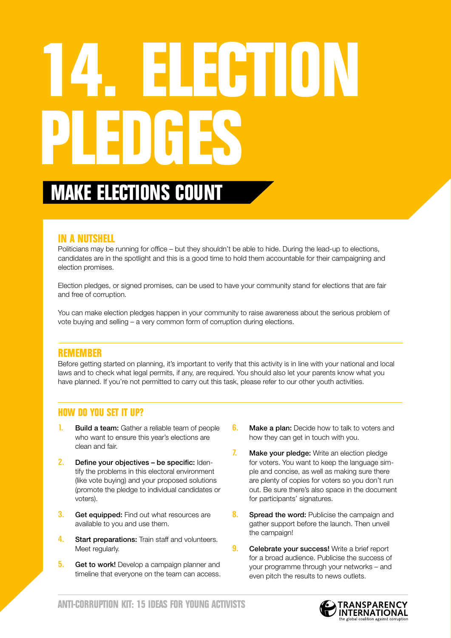# **14. Election Pledges**

### **MAKE ELECTIONS COUN**

#### **In a nutshell**

Politicians may be running for office – but they shouldn't be able to hide. During the lead-up to elections, candidates are in the spotlight and this is a good time to hold them accountable for their campaigning and election promises.

Election pledges, or signed promises, can be used to have your community stand for elections that are fair and free of corruption.

You can make election pledges happen in your community to raise awareness about the serious problem of vote buying and selling – a very common form of corruption during elections.

#### **Remember**

Before getting started on planning, it's important to verify that this activity is in line with your national and local laws and to check what legal permits, if any, are required. You should also let your parents know what you have planned. If you're not permitted to carry out this task, please refer to our other youth activities.

- **Build a team:** Gather a reliable team of people who want to ensure this year's elections are clean and fair.
- 2. Define your objectives be specific: Identify the problems in this electoral environment (like vote buying) and your proposed solutions (promote the pledge to individual candidates or voters).
- **3.** Get equipped: Find out what resources are available to you and use them.
- 4. Start preparations: Train staff and volunteers. Meet regularly.
- **5.** Get to work! Develop a campaign planner and timeline that everyone on the team can access.
- **6.** Make a plan: Decide how to talk to voters and how they can get in touch with you.
- 7. Make your pledge: Write an election pledge for voters. You want to keep the language simple and concise, as well as making sure there are plenty of copies for voters so you don't run out. Be sure there's also space in the document for participants' signatures.
- 8. Spread the word: Publicise the campaign and gather support before the launch. Then unveil the campaign!
- **9.** Celebrate your success! Write a brief report for a broad audience. Publicise the success of your programme through your networks – and even pitch the results to news outlets.

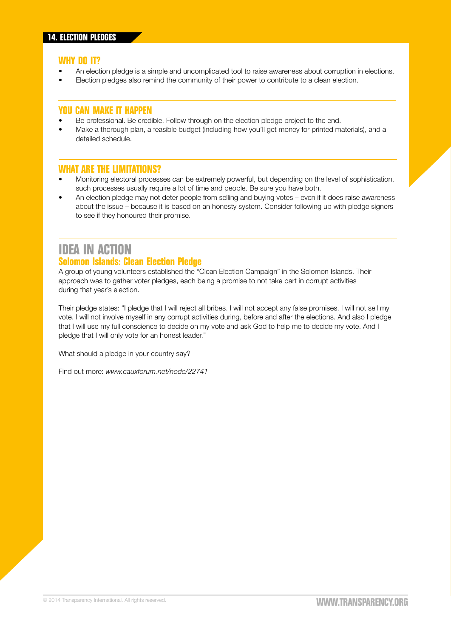- An election pledge is a simple and uncomplicated tool to raise awareness about corruption in elections.
- Election pledges also remind the community of their power to contribute to a clean election.

#### **You can make it happen**

- Be professional. Be credible. Follow through on the election pledge project to the end.
- Make a thorough plan, a feasible budget (including how you'll get money for printed materials), and a detailed schedule.

#### **What are the limitations?**

- Monitoring electoral processes can be extremely powerful, but depending on the level of sophistication, such processes usually require a lot of time and people. Be sure you have both.
- An election pledge may not deter people from selling and buying votes even if it does raise awareness about the issue – because it is based on an honesty system. Consider following up with pledge signers to see if they honoured their promise.

### **IDEA IN ACTION**

#### **Solomon Islands: Clean Election Pledge**

A group of young volunteers established the "Clean Election Campaign" in the Solomon Islands. Their approach was to gather voter pledges, each being a promise to not take part in corrupt activities during that year's election.

Their pledge states: "I pledge that I will reject all bribes. I will not accept any false promises. I will not sell my vote. I will not involve myself in any corrupt activities during, before and after the elections. And also I pledge that I will use my full conscience to decide on my vote and ask God to help me to decide my vote. And I pledge that I will only vote for an honest leader."

What should a pledge in your country say?

Find out more: *[www.cauxforum.net/node/22741](http://www.cauxforum.net/node/22741)*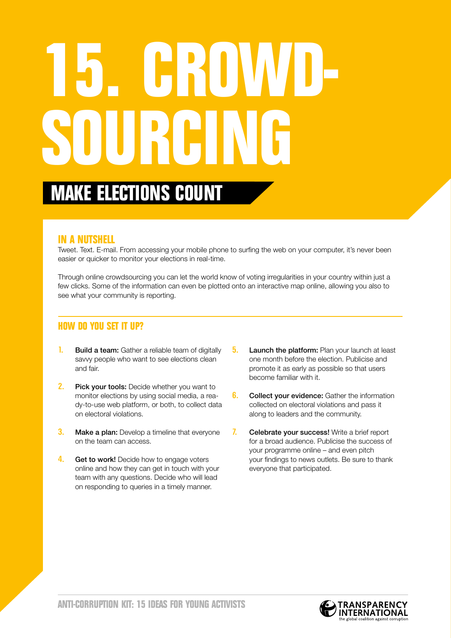# **15. Crowdsourcing**

### **Make elections count**

#### **In a nutshell**

Tweet. Text. E-mail. From accessing your mobile phone to surfing the web on your computer, it's never been easier or quicker to monitor your elections in real-time.

Through online crowdsourcing you can let the world know of voting irregularities in your country within just a few clicks. Some of the information can even be plotted onto an interactive map online, allowing you also to see what your community is reporting.

- 1. Build a team: Gather a reliable team of digitally savvy people who want to see elections clean and fair.
- **2.** Pick your tools: Decide whether you want to monitor elections by using social media, a ready-to-use web platform, or both, to collect data on electoral violations.
- **3.** Make a plan: Develop a timeline that everyone on the team can access.
- 4. Get to work! Decide how to engage voters online and how they can get in touch with your team with any questions. Decide who will lead on responding to queries in a timely manner.
- **5.** Launch the platform: Plan your launch at least one month before the election. Publicise and promote it as early as possible so that users become familiar with it.
- **6.** Collect your evidence: Gather the information collected on electoral violations and pass it along to leaders and the community.
- 7. Celebrate your success! Write a brief report for a broad audience. Publicise the success of your programme online – and even pitch your findings to news outlets. Be sure to thank everyone that participated.

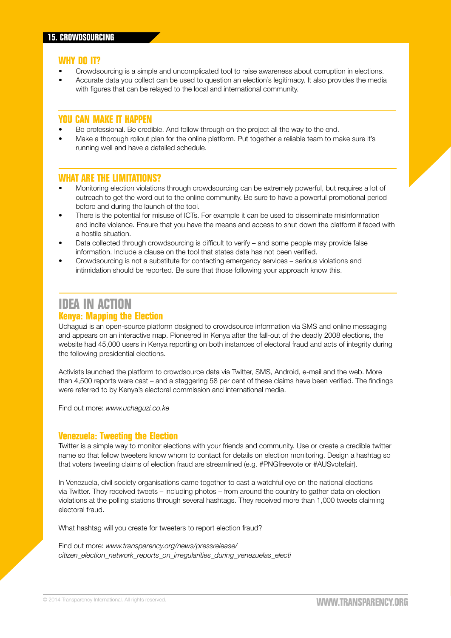- Crowdsourcing is a simple and uncomplicated tool to raise awareness about corruption in elections.
- Accurate data you collect can be used to question an election's legitimacy. It also provides the media with figures that can be relayed to the local and international community.

#### **You can make it happen**

- Be professional. Be credible. And follow through on the project all the way to the end.
- Make a thorough rollout plan for the online platform. Put together a reliable team to make sure it's running well and have a detailed schedule.

#### **What are the limitations?**

- Monitoring election violations through crowdsourcing can be extremely powerful, but requires a lot of outreach to get the word out to the online community. Be sure to have a powerful promotional period before and during the launch of the tool.
- There is the potential for misuse of ICTs. For example it can be used to disseminate misinformation and incite violence. Ensure that you have the means and access to shut down the platform if faced with a hostile situation.
- Data collected through crowdsourcing is difficult to verify and some people may provide false information. Include a clause on the tool that states data has not been verified.
- Crowdsourcing is not a substitute for contacting emergency services serious violations and intimidation should be reported. Be sure that those following your approach know this.

#### **IDEA IN ACTION Kenya: Mapping the Election**

Uchaguzi is an open-source platform designed to crowdsource information via SMS and online messaging and appears on an interactive map. Pioneered in Kenya after the fall-out of the deadly 2008 elections, the website had 45,000 users in Kenya reporting on both instances of electoral fraud and acts of integrity during the following presidential elections.

Activists launched the platform to crowdsource data via Twitter, SMS, Android, e-mail and the web. More than 4,500 reports were cast – and a staggering 58 per cent of these claims have been verified. The findings were referred to by Kenya's electoral commission and international media.

Find out more: *[www.uchaguzi.co.ke](http://www.uchaguzi.co.ke)*

#### **Venezuela: Tweeting the Election**

Twitter is a simple way to monitor elections with your friends and community. Use or create a credible twitter name so that fellow tweeters know whom to contact for details on election monitoring. Design a hashtag so that voters tweeting claims of election fraud are streamlined (e.g. #PNGfreevote or #AUSvotefair).

In Venezuela, civil society organisations came together to cast a watchful eye on the national elections via Twitter. They received tweets – including photos – from around the country to gather data on election violations at the polling stations through several hashtags. They received more than 1,000 tweets claiming electoral fraud.

What hashtag will you create for tweeters to report election fraud?

Find out more: *[www.transparency.org/news/pressrelease/](http://www.transparency.org/news/pressrelease/citizen_election_network_reports_on_irregularities_during_venezuelas_electi) [citizen\\_election\\_network\\_reports\\_on\\_irregularities\\_during\\_venezuelas\\_electi](http://www.transparency.org/news/pressrelease/citizen_election_network_reports_on_irregularities_during_venezuelas_electi)*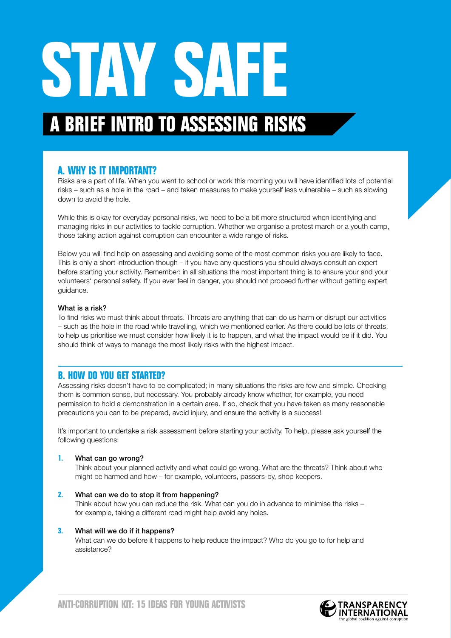# STAY SAFE

### **A Brief Intro to Assessing Risks**

#### **A. Why is it important?**

Risks are a part of life. When you went to school or work this morning you will have identified lots of potential risks – such as a hole in the road – and taken measures to make yourself less vulnerable – such as slowing down to avoid the hole.

While this is okay for everyday personal risks, we need to be a bit more structured when identifying and managing risks in our activities to tackle corruption. Whether we organise a protest march or a youth camp, those taking action against corruption can encounter a wide range of risks.

Below you will find help on assessing and avoiding some of the most common risks you are likely to face. This is only a short introduction though – if you have any questions you should always consult an expert before starting your activity. Remember: in all situations the most important thing is to ensure your and your volunteers' personal safety. If you ever feel in danger, you should not proceed further without getting expert guidance.

#### What is a risk?

To find risks we must think about threats. Threats are anything that can do us harm or disrupt our activities – such as the hole in the road while travelling, which we mentioned earlier. As there could be lots of threats, to help us prioritise we must consider how likely it is to happen, and what the impact would be if it did. You should think of ways to manage the most likely risks with the highest impact.

#### **B. How do you get started?**

Assessing risks doesn't have to be complicated; in many situations the risks are few and simple. Checking them is common sense, but necessary. You probably already know whether, for example, you need permission to hold a demonstration in a certain area. If so, check that you have taken as many reasonable precautions you can to be prepared, avoid injury, and ensure the activity is a success!

It's important to undertake a risk assessment before starting your activity. To help, please ask yourself the following questions:

#### **1.** What can go wrong?

Think about your planned activity and what could go wrong. What are the threats? Think about who might be harmed and how – for example, volunteers, passers-by, shop keepers.

#### **2.** What can we do to stop it from happening?

Think about how you can reduce the risk. What can you do in advance to minimise the risks – for example, taking a different road might help avoid any holes.

#### **3.** What will we do if it happens?

What can we do before it happens to help reduce the impact? Who do you go to for help and assistance?

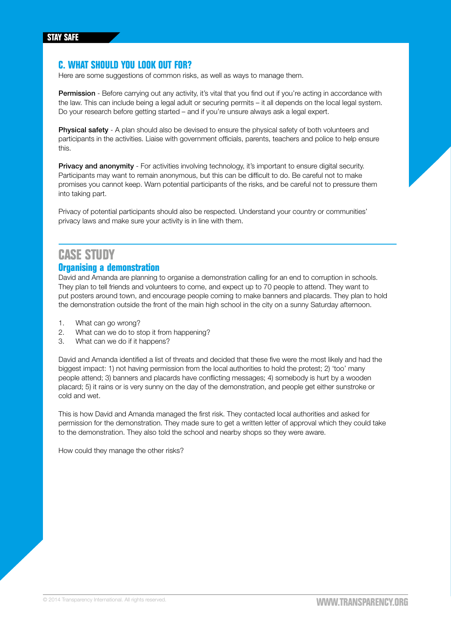#### **C. What should you look out for?**

Here are some suggestions of common risks, as well as ways to manage them.

Permission - Before carrying out any activity, it's vital that you find out if you're acting in accordance with the law. This can include being a legal adult or securing permits – it all depends on the local legal system. Do your research before getting started – and if you're unsure always ask a legal expert.

**Physical safety** - A plan should also be devised to ensure the physical safety of both volunteers and participants in the activities. Liaise with government officials, parents, teachers and police to help ensure this.

**Privacy and anonymity** - For activities involving technology, it's important to ensure digital security. Participants may want to remain anonymous, but this can be difficult to do. Be careful not to make promises you cannot keep. Warn potential participants of the risks, and be careful not to pressure them into taking part.

Privacy of potential participants should also be respected. Understand your country or communities' privacy laws and make sure your activity is in line with them.

#### **Case Study Organising a demonstration**

#### David and Amanda are planning to organise a demonstration calling for an end to corruption in schools.

They plan to tell friends and volunteers to come, and expect up to 70 people to attend. They want to put posters around town, and encourage people coming to make banners and placards. They plan to hold the demonstration outside the front of the main high school in the city on a sunny Saturday afternoon.

- 1. What can go wrong?
- 2. What can we do to stop it from happening?
- 3. What can we do if it happens?

David and Amanda identified a list of threats and decided that these five were the most likely and had the biggest impact: 1) not having permission from the local authorities to hold the protest; 2) 'too' many people attend; 3) banners and placards have conflicting messages; 4) somebody is hurt by a wooden placard; 5) it rains or is very sunny on the day of the demonstration, and people get either sunstroke or cold and wet.

This is how David and Amanda managed the first risk. They contacted local authorities and asked for permission for the demonstration. They made sure to get a written letter of approval which they could take to the demonstration. They also told the school and nearby shops so they were aware.

How could they manage the other risks?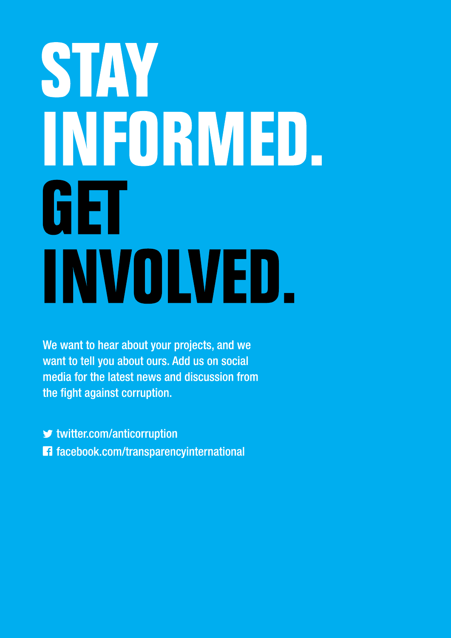# STAY INFORMED. GET INVOLVED.

We want to hear about your projects, and we want to tell you about ours. Add us on social media for the latest news and discussion from the fight against corruption.

 $\blacktriangleright$  twitter.com/anticorruption 1 facebook.com/transparencyinternational